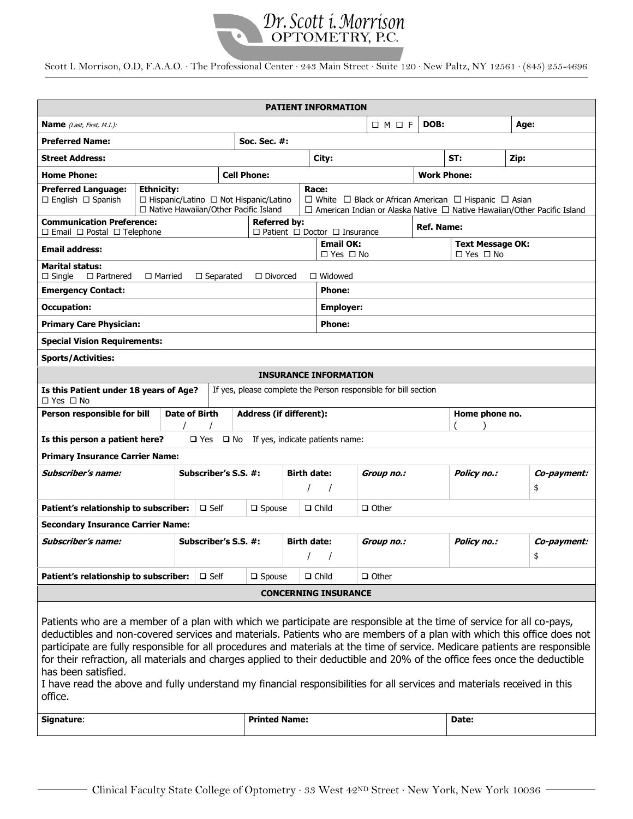

## Scott I. Morrison, O.D, F.A.A.O. ∙ The Professional Center ∙ 243 Main Street ∙ Suite 120 ∙ New Paltz, NY 12561 ∙ (845) 255-4696

| <b>PATIENT INFORMATION</b>                                                                                                                                                                                                                                                                                                                                                                                                                                                                                                                                                                                                                                                  |                   |                                                                                                                                                                                                                                                                           |                    |                      |                                          |                                |                              |                |                                                 |       |                   |  |  |
|-----------------------------------------------------------------------------------------------------------------------------------------------------------------------------------------------------------------------------------------------------------------------------------------------------------------------------------------------------------------------------------------------------------------------------------------------------------------------------------------------------------------------------------------------------------------------------------------------------------------------------------------------------------------------------|-------------------|---------------------------------------------------------------------------------------------------------------------------------------------------------------------------------------------------------------------------------------------------------------------------|--------------------|----------------------|------------------------------------------|--------------------------------|------------------------------|----------------|-------------------------------------------------|-------|-------------------|--|--|
| <b>Name</b> (Last, First, M.I.):                                                                                                                                                                                                                                                                                                                                                                                                                                                                                                                                                                                                                                            |                   |                                                                                                                                                                                                                                                                           |                    |                      | DOB:<br>$\Box M \Box F$                  |                                |                              |                |                                                 | Age:  |                   |  |  |
| <b>Preferred Name:</b>                                                                                                                                                                                                                                                                                                                                                                                                                                                                                                                                                                                                                                                      |                   |                                                                                                                                                                                                                                                                           |                    | <b>Soc. Sec. #:</b>  |                                          |                                |                              |                |                                                 |       |                   |  |  |
| <b>Street Address:</b>                                                                                                                                                                                                                                                                                                                                                                                                                                                                                                                                                                                                                                                      |                   |                                                                                                                                                                                                                                                                           |                    |                      |                                          | City:                          |                              |                | ST:                                             | Zip:  |                   |  |  |
| <b>Home Phone:</b>                                                                                                                                                                                                                                                                                                                                                                                                                                                                                                                                                                                                                                                          |                   |                                                                                                                                                                                                                                                                           | <b>Cell Phone:</b> |                      |                                          |                                | <b>Work Phone:</b>           |                |                                                 |       |                   |  |  |
| <b>Preferred Language:</b><br>$\Box$ English $\Box$ Spanish                                                                                                                                                                                                                                                                                                                                                                                                                                                                                                                                                                                                                 | <b>Ethnicity:</b> | Race:<br>$\Box$ White $\Box$ Black or African American $\Box$ Hispanic $\Box$ Asian<br>$\Box$ Hispanic/Latino $\Box$ Not Hispanic/Latino<br>□ Native Hawaiian/Other Pacific Island<br>$\Box$ American Indian or Alaska Native $\Box$ Native Hawaiian/Other Pacific Island |                    |                      |                                          |                                |                              |                |                                                 |       |                   |  |  |
| <b>Communication Preference:</b><br><b>Referred by:</b><br><b>Ref. Name:</b><br>$\Box$ Email $\Box$ Postal $\Box$ Telephone<br>$\Box$ Patient $\Box$ Doctor $\Box$ Insurance                                                                                                                                                                                                                                                                                                                                                                                                                                                                                                |                   |                                                                                                                                                                                                                                                                           |                    |                      |                                          |                                |                              |                |                                                 |       |                   |  |  |
| <b>Email address:</b>                                                                                                                                                                                                                                                                                                                                                                                                                                                                                                                                                                                                                                                       |                   |                                                                                                                                                                                                                                                                           |                    |                      | <b>Email OK:</b><br>$\Box$ Yes $\Box$ No |                                |                              |                | <b>Text Message OK:</b><br>$\Box$ Yes $\Box$ No |       |                   |  |  |
| <b>Marital status:</b><br>$\Box$ Partnered<br>$\Box$ Married<br>$\Box$ Divorced<br>$\Box$ Widowed<br>$\Box$ Single<br>$\Box$ Separated                                                                                                                                                                                                                                                                                                                                                                                                                                                                                                                                      |                   |                                                                                                                                                                                                                                                                           |                    |                      |                                          |                                |                              |                |                                                 |       |                   |  |  |
| <b>Emergency Contact:</b>                                                                                                                                                                                                                                                                                                                                                                                                                                                                                                                                                                                                                                                   | <b>Phone:</b>     |                                                                                                                                                                                                                                                                           |                    |                      |                                          |                                |                              |                |                                                 |       |                   |  |  |
| <b>Occupation:</b>                                                                                                                                                                                                                                                                                                                                                                                                                                                                                                                                                                                                                                                          |                   |                                                                                                                                                                                                                                                                           |                    |                      |                                          | <b>Employer:</b>               |                              |                |                                                 |       |                   |  |  |
| <b>Primary Care Physician:</b>                                                                                                                                                                                                                                                                                                                                                                                                                                                                                                                                                                                                                                              |                   |                                                                                                                                                                                                                                                                           |                    |                      |                                          | <b>Phone:</b>                  |                              |                |                                                 |       |                   |  |  |
| <b>Special Vision Requirements:</b>                                                                                                                                                                                                                                                                                                                                                                                                                                                                                                                                                                                                                                         |                   |                                                                                                                                                                                                                                                                           |                    |                      |                                          |                                |                              |                |                                                 |       |                   |  |  |
| <b>Sports/Activities:</b>                                                                                                                                                                                                                                                                                                                                                                                                                                                                                                                                                                                                                                                   |                   |                                                                                                                                                                                                                                                                           |                    |                      |                                          |                                |                              |                |                                                 |       |                   |  |  |
| <b>INSURANCE INFORMATION</b>                                                                                                                                                                                                                                                                                                                                                                                                                                                                                                                                                                                                                                                |                   |                                                                                                                                                                                                                                                                           |                    |                      |                                          |                                |                              |                |                                                 |       |                   |  |  |
| If yes, please complete the Person responsible for bill section<br>Is this Patient under 18 years of Age?<br>$\Box$ Yes $\Box$ No                                                                                                                                                                                                                                                                                                                                                                                                                                                                                                                                           |                   |                                                                                                                                                                                                                                                                           |                    |                      |                                          |                                |                              |                |                                                 |       |                   |  |  |
| Person responsible for bill                                                                                                                                                                                                                                                                                                                                                                                                                                                                                                                                                                                                                                                 |                   | <b>Date of Birth</b>                                                                                                                                                                                                                                                      |                    |                      | <b>Address (if different):</b>           |                                |                              | Home phone no. |                                                 |       |                   |  |  |
| Is this person a patient here?<br>$\square$ Yes<br>If yes, indicate patients name:<br>$\square$ No                                                                                                                                                                                                                                                                                                                                                                                                                                                                                                                                                                          |                   |                                                                                                                                                                                                                                                                           |                    |                      |                                          |                                |                              |                |                                                 |       |                   |  |  |
| <b>Primary Insurance Carrier Name:</b>                                                                                                                                                                                                                                                                                                                                                                                                                                                                                                                                                                                                                                      |                   |                                                                                                                                                                                                                                                                           |                    |                      |                                          |                                |                              |                |                                                 |       |                   |  |  |
| Subscriber's name:                                                                                                                                                                                                                                                                                                                                                                                                                                                                                                                                                                                                                                                          |                   |                                                                                                                                                                                                                                                                           |                    | Subscriber's S.S. #: |                                          | <b>Birth date:</b><br>$\prime$ | Group no.:                   |                | Policy no.:                                     |       | Co-payment:<br>\$ |  |  |
| Patient's relationship to subscriber:                                                                                                                                                                                                                                                                                                                                                                                                                                                                                                                                                                                                                                       |                   |                                                                                                                                                                                                                                                                           | $\Box$ Self        |                      | $\Box$ Spouse                            |                                | $\Box$ Child<br>$\Box$ Other |                |                                                 |       |                   |  |  |
| <b>Secondary Insurance Carrier Name:</b>                                                                                                                                                                                                                                                                                                                                                                                                                                                                                                                                                                                                                                    |                   |                                                                                                                                                                                                                                                                           |                    |                      |                                          |                                |                              |                |                                                 |       |                   |  |  |
| <b>Subscriber's name:</b>                                                                                                                                                                                                                                                                                                                                                                                                                                                                                                                                                                                                                                                   |                   | Subscriber's S.S. #:                                                                                                                                                                                                                                                      |                    |                      | <b>Birth date:</b><br>$\sqrt{2}$         |                                | Group no.:                   |                | Policy no.:                                     |       | Co-payment:<br>\$ |  |  |
| Patient's relationship to subscriber:                                                                                                                                                                                                                                                                                                                                                                                                                                                                                                                                                                                                                                       |                   |                                                                                                                                                                                                                                                                           | $\square$ Self     | $\square$ Spouse     |                                          | $\Box$ Child                   | $\Box$ Other                 |                |                                                 |       |                   |  |  |
| <b>CONCERNING INSURANCE</b>                                                                                                                                                                                                                                                                                                                                                                                                                                                                                                                                                                                                                                                 |                   |                                                                                                                                                                                                                                                                           |                    |                      |                                          |                                |                              |                |                                                 |       |                   |  |  |
| Patients who are a member of a plan with which we participate are responsible at the time of service for all co-pays,<br>deductibles and non-covered services and materials. Patients who are members of a plan with which this office does not<br>participate are fully responsible for all procedures and materials at the time of service. Medicare patients are responsible<br>for their refraction, all materials and charges applied to their deductible and 20% of the office fees once the deductible<br>has been satisfied.<br>I have read the above and fully understand my financial responsibilities for all services and materials received in this<br>office. |                   |                                                                                                                                                                                                                                                                           |                    |                      |                                          |                                |                              |                |                                                 |       |                   |  |  |
| Signature:                                                                                                                                                                                                                                                                                                                                                                                                                                                                                                                                                                                                                                                                  |                   |                                                                                                                                                                                                                                                                           |                    |                      | <b>Printed Name:</b>                     |                                |                              |                |                                                 | Date: |                   |  |  |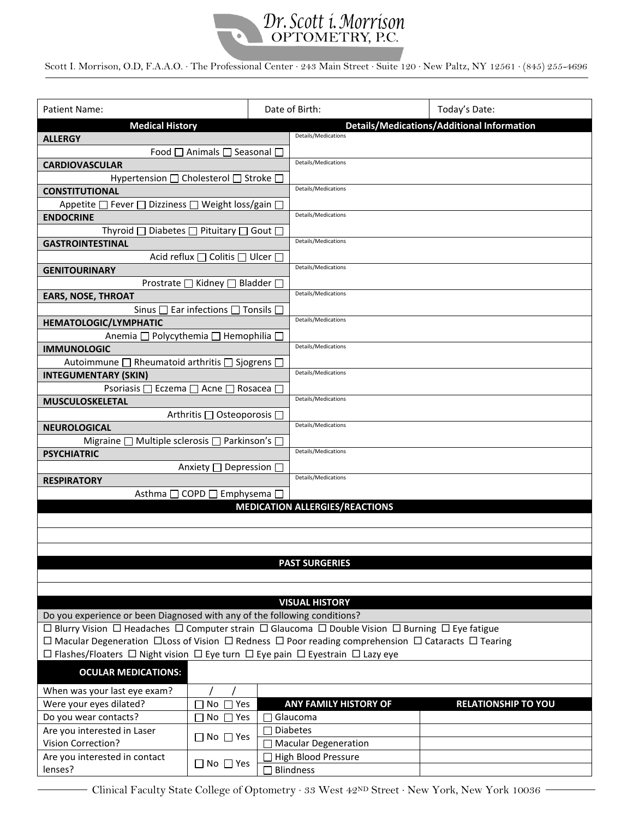

Scott I. Morrison, O.D, F.A.A.O. ∙ The Professional Center ∙ 243 Main Street ∙ Suite 120 ∙ New Paltz, NY 12561 ∙ (845) 255-4696

| Patient Name:                                                                                                                      |                                                            |                      | Date of Birth:                                    | Today's Date:              |  |  |  |  |  |  |
|------------------------------------------------------------------------------------------------------------------------------------|------------------------------------------------------------|----------------------|---------------------------------------------------|----------------------------|--|--|--|--|--|--|
| <b>Medical History</b>                                                                                                             |                                                            |                      | <b>Details/Medications/Additional Information</b> |                            |  |  |  |  |  |  |
| <b>ALLERGY</b>                                                                                                                     |                                                            |                      | Details/Medications                               |                            |  |  |  |  |  |  |
| Food □ Animals □ Seasonal □                                                                                                        |                                                            |                      |                                                   |                            |  |  |  |  |  |  |
| <b>CARDIOVASCULAR</b>                                                                                                              |                                                            |                      | Details/Medications                               |                            |  |  |  |  |  |  |
| Hypertension $\Box$ Cholesterol $\Box$ Stroke $\Box$                                                                               |                                                            |                      |                                                   |                            |  |  |  |  |  |  |
| <b>CONSTITUTIONAL</b>                                                                                                              |                                                            |                      | Details/Medications                               |                            |  |  |  |  |  |  |
| Appetite $\Box$ Fever $\Box$                                                                                                       | Dizziness □ Weight loss/gain □                             |                      |                                                   |                            |  |  |  |  |  |  |
| <b>ENDOCRINE</b>                                                                                                                   |                                                            |                      | Details/Medications                               |                            |  |  |  |  |  |  |
| Thyroid $\square$                                                                                                                  | Diabetes $\Box$ Pituitary $\Box$ Gout $\Box$               |                      |                                                   |                            |  |  |  |  |  |  |
| <b>GASTROINTESTINAL</b>                                                                                                            |                                                            |                      | Details/Medications                               |                            |  |  |  |  |  |  |
|                                                                                                                                    | Acid reflux □ Colitis □ Ulcer □                            |                      |                                                   |                            |  |  |  |  |  |  |
| <b>GENITOURINARY</b>                                                                                                               |                                                            |                      | Details/Medications                               |                            |  |  |  |  |  |  |
|                                                                                                                                    |                                                            |                      |                                                   |                            |  |  |  |  |  |  |
| Prostrate □ Kidney □ Bladder □<br><b>EARS, NOSE, THROAT</b>                                                                        |                                                            |                      | Details/Medications                               |                            |  |  |  |  |  |  |
|                                                                                                                                    | Sinus $\square$ Ear infections $\square$ Tonsils $\square$ |                      |                                                   |                            |  |  |  |  |  |  |
| <b>HEMATOLOGIC/LYMPHATIC</b>                                                                                                       |                                                            |                      | Details/Medications                               |                            |  |  |  |  |  |  |
| Anemia □ Polycythemia □ Hemophilia □                                                                                               |                                                            |                      |                                                   |                            |  |  |  |  |  |  |
| <b>IMMUNOLOGIC</b>                                                                                                                 |                                                            |                      | Details/Medications                               |                            |  |  |  |  |  |  |
|                                                                                                                                    |                                                            |                      |                                                   |                            |  |  |  |  |  |  |
| Autoimmune □ Rheumatoid arthritis □ Sjogrens □                                                                                     |                                                            |                      | Details/Medications                               |                            |  |  |  |  |  |  |
| <b>INTEGUMENTARY (SKIN)</b>                                                                                                        |                                                            |                      |                                                   |                            |  |  |  |  |  |  |
| Psoriasis □ Eczema □ Acne □ Rosacea □                                                                                              |                                                            |                      | Details/Medications                               |                            |  |  |  |  |  |  |
| <b>MUSCULOSKELETAL</b>                                                                                                             |                                                            |                      |                                                   |                            |  |  |  |  |  |  |
|                                                                                                                                    | Arthritis □ Osteoporosis □                                 |                      | Details/Medications                               |                            |  |  |  |  |  |  |
| <b>NEUROLOGICAL</b>                                                                                                                |                                                            |                      |                                                   |                            |  |  |  |  |  |  |
| Migraine [                                                                                                                         | ] Multiple sclerosis $\square$ Parkinson's $\square$       |                      | Details/Medications                               |                            |  |  |  |  |  |  |
| <b>PSYCHIATRIC</b>                                                                                                                 |                                                            |                      |                                                   |                            |  |  |  |  |  |  |
|                                                                                                                                    | Anxiety [                                                  | Depression $\square$ | Details/Medications                               |                            |  |  |  |  |  |  |
| <b>RESPIRATORY</b>                                                                                                                 |                                                            |                      |                                                   |                            |  |  |  |  |  |  |
| Asthma □ COPD □ Emphysema □<br><b>MEDICATION ALLERGIES/REACTIONS</b>                                                               |                                                            |                      |                                                   |                            |  |  |  |  |  |  |
|                                                                                                                                    |                                                            |                      |                                                   |                            |  |  |  |  |  |  |
|                                                                                                                                    |                                                            |                      |                                                   |                            |  |  |  |  |  |  |
|                                                                                                                                    |                                                            |                      |                                                   |                            |  |  |  |  |  |  |
|                                                                                                                                    |                                                            |                      |                                                   |                            |  |  |  |  |  |  |
|                                                                                                                                    |                                                            |                      | <b>PAST SURGERIES</b>                             |                            |  |  |  |  |  |  |
|                                                                                                                                    |                                                            |                      |                                                   |                            |  |  |  |  |  |  |
|                                                                                                                                    |                                                            |                      |                                                   |                            |  |  |  |  |  |  |
| <b>VISUAL HISTORY</b>                                                                                                              |                                                            |                      |                                                   |                            |  |  |  |  |  |  |
| Do you experience or been Diagnosed with any of the following conditions?                                                          |                                                            |                      |                                                   |                            |  |  |  |  |  |  |
| □ Blurry Vision □ Headaches □ Computer strain □ Glaucoma □ Double Vision □ Burning □ Eye fatigue                                   |                                                            |                      |                                                   |                            |  |  |  |  |  |  |
| $\Box$ Macular Degeneration $\Box$ Loss of Vision $\Box$ Redness $\Box$ Poor reading comprehension $\Box$ Cataracts $\Box$ Tearing |                                                            |                      |                                                   |                            |  |  |  |  |  |  |
| $\Box$ Flashes/Floaters $\Box$ Night vision $\Box$ Eye turn $\Box$ Eye pain $\Box$ Eyestrain $\Box$ Lazy eye                       |                                                            |                      |                                                   |                            |  |  |  |  |  |  |
| <b>OCULAR MEDICATIONS:</b>                                                                                                         |                                                            |                      |                                                   |                            |  |  |  |  |  |  |
| When was your last eye exam?                                                                                                       |                                                            |                      |                                                   |                            |  |  |  |  |  |  |
| Were your eyes dilated?                                                                                                            | $No \square Yes$                                           |                      | <b>ANY FAMILY HISTORY OF</b>                      | <b>RELATIONSHIP TO YOU</b> |  |  |  |  |  |  |
| Do you wear contacts?                                                                                                              | $No \square Yes$                                           |                      | Glaucoma                                          |                            |  |  |  |  |  |  |
| Are you interested in Laser                                                                                                        |                                                            | $\Box$ Diabetes      |                                                   |                            |  |  |  |  |  |  |
| Vision Correction?                                                                                                                 | $\Box$ No $\Box$ Yes                                       |                      | □ Macular Degeneration                            |                            |  |  |  |  |  |  |
| Are you interested in contact                                                                                                      |                                                            |                      | <b>High Blood Pressure</b>                        |                            |  |  |  |  |  |  |
| lenses?                                                                                                                            | $\Box$ No $\Box$ Yes                                       |                      | <b>Blindness</b>                                  |                            |  |  |  |  |  |  |

Clinical Faculty State College of Optometry ∙ 33 West 42ND Street ∙ New York, New York 10036